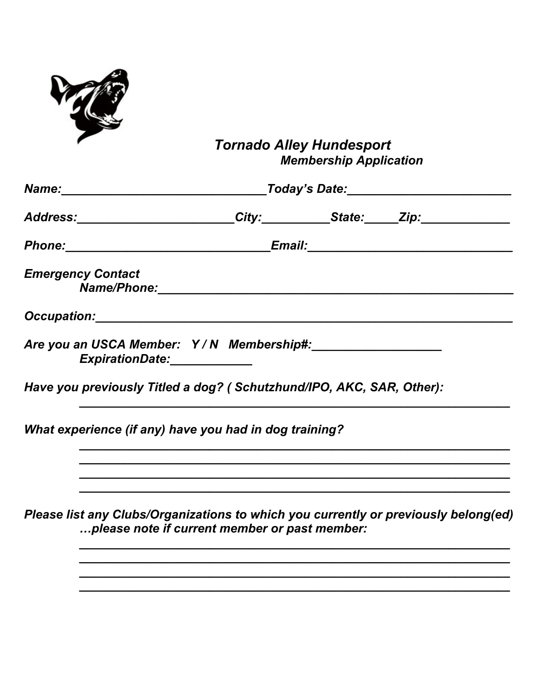

## Tornado Alley Hundesport<br>Membership Application

|                          | Address: City: Campbell City: State: Zip:                                                                                                                                                                                      |  |  |  |
|--------------------------|--------------------------------------------------------------------------------------------------------------------------------------------------------------------------------------------------------------------------------|--|--|--|
|                          |                                                                                                                                                                                                                                |  |  |  |
| <b>Emergency Contact</b> | Name/Phone: Manual Communication of the Communication of the Communication of the Communication of the Communication of the Communication of the Communication of the Communication of the Communication of the Communication  |  |  |  |
|                          | Occupation: New York State State State State State State State State State State State State State State State State State State State State State State State State State State State State State State State State State Sta |  |  |  |
|                          | Are you an USCA Member: Y/N Membership#:<br>ExpirationDate: 2004                                                                                                                                                               |  |  |  |
|                          | Have you previously Titled a dog? (Schutzhund/IPO, AKC, SAR, Other):                                                                                                                                                           |  |  |  |
|                          | What experience (if any) have you had in dog training?                                                                                                                                                                         |  |  |  |
|                          |                                                                                                                                                                                                                                |  |  |  |
|                          | Please list any Clubs/Organizations to which you currently or previously belong(ed)                                                                                                                                            |  |  |  |

... please note if current member or past member: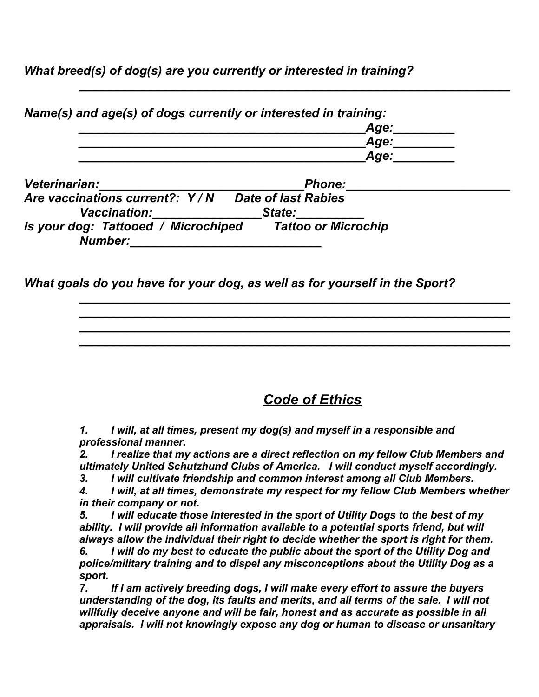*What breed(s) of dog(s) are you currently or interested in training?*

| Name(s) and age(s) of dogs currently or interested in training:   |      |
|-------------------------------------------------------------------|------|
|                                                                   | Age: |
|                                                                   | Age: |
|                                                                   | Age: |
| Veterinarian:<br><b>Phone:</b>                                    |      |
| Are vaccinations current?: Y/N<br><b>Date of last Rabies</b>      |      |
| <b>Vaccination:</b><br>State:                                     |      |
| <b>Tatton or Microchin</b><br>Is vour don: Tattoned / Microchined |      |

*\_\_\_\_\_\_\_\_\_\_\_\_\_\_\_\_\_\_\_\_\_\_\_\_\_\_\_\_\_\_\_\_\_\_\_\_\_\_\_\_\_\_\_\_\_\_\_\_\_\_\_\_\_\_\_\_\_\_\_\_\_\_\_*

*Is your dog: Tattooed / Microchiped Tattoo or Microchip Number:\_\_\_\_\_\_\_\_\_\_\_\_\_\_\_\_\_\_\_\_\_\_\_\_\_\_\_\_*

*What goals do you have for your dog, as well as for yourself in the Sport?*

 *Code of Ethics*

*1. I will, at all times, present my dog(s) and myself in a responsible and professional manner.*

*2. I realize that my actions are a direct reflection on my fellow Club Members and ultimately United Schutzhund Clubs of America. I will conduct myself accordingly.*

*\_\_\_\_\_\_\_\_\_\_\_\_\_\_\_\_\_\_\_\_\_\_\_\_\_\_\_\_\_\_\_\_\_\_\_\_\_\_\_\_\_\_\_\_\_\_\_\_\_\_\_\_\_\_\_\_\_\_\_\_\_\_\_ \_\_\_\_\_\_\_\_\_\_\_\_\_\_\_\_\_\_\_\_\_\_\_\_\_\_\_\_\_\_\_\_\_\_\_\_\_\_\_\_\_\_\_\_\_\_\_\_\_\_\_\_\_\_\_\_\_\_\_\_\_\_\_ \_\_\_\_\_\_\_\_\_\_\_\_\_\_\_\_\_\_\_\_\_\_\_\_\_\_\_\_\_\_\_\_\_\_\_\_\_\_\_\_\_\_\_\_\_\_\_\_\_\_\_\_\_\_\_\_\_\_\_\_\_\_\_ \_\_\_\_\_\_\_\_\_\_\_\_\_\_\_\_\_\_\_\_\_\_\_\_\_\_\_\_\_\_\_\_\_\_\_\_\_\_\_\_\_\_\_\_\_\_\_\_\_\_\_\_\_\_\_\_\_\_\_\_\_\_\_*

*3. I will cultivate friendship and common interest among all Club Members.*

*4. I will, at all times, demonstrate my respect for my fellow Club Members whether in their company or not.*

*5. I will educate those interested in the sport of Utility Dogs to the best of my ability. I will provide all information available to a potential sports friend, but will always allow the individual their right to decide whether the sport is right for them. 6. I will do my best to educate the public about the sport of the Utility Dog and police/military training and to dispel any misconceptions about the Utility Dog as a sport.*

*7. If I am actively breeding dogs, I will make every effort to assure the buyers understanding of the dog, its faults and merits, and all terms of the sale. I will not willfully deceive anyone and will be fair, honest and as accurate as possible in all appraisals. I will not knowingly expose any dog or human to disease or unsanitary*